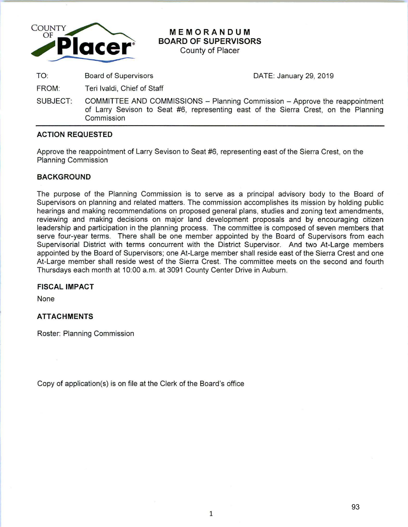

# **MEMORANDUM BOARD OF SUPERVISORS**

County of Placer

TO: Board of Supervisors

DATE: January 29, 2019

- FROM: Teri lvaldi, Chief of Staff
- SUBJECT: COMMITTEE AND COMMISSIONS Planning Commission Approve the reappointment of Larry Sevison to Seat #6, representing east of the Sierra Crest, on the Planning **Commission**

# **ACTION REQUESTED**

Approve the reappointment of Larry Sevison to Seat #6, representing east of the Sierra Crest, on the Planning Commission

# **BACKGROUND**

The purpose of the Planning Commission is to serve as a principal advisory body to the Board of Supervisors on planning and related matters. The commission accomplishes its mission by holding public hearings and making recommendations on proposed general plans, studies and zoning text amendments, reviewing and making decisions on major land development proposals and by encouraging citizen leadership and participation in the planning process. The committee is composed of seven members that serve four-year terms. There shall be one member appointed by the Board of Supervisors from each Supervisorial District with terms concurrent with the District Supervisor. And two At-Large members appointed by the Board of Supervisors; one At-Large member shall reside east of the Sierra Crest and one At-Large member shall reside west of the Sierra Crest. The committee meets on the second and fourth Thursdays each month at 10:00 a.m. at 3091 County Center Drive in Auburn.

## **FISCAL IMPACT**

None

# **ATTACHMENTS**

Roster: Planning Commission

Copy of application(s) is on file at the Clerk of the Board's office